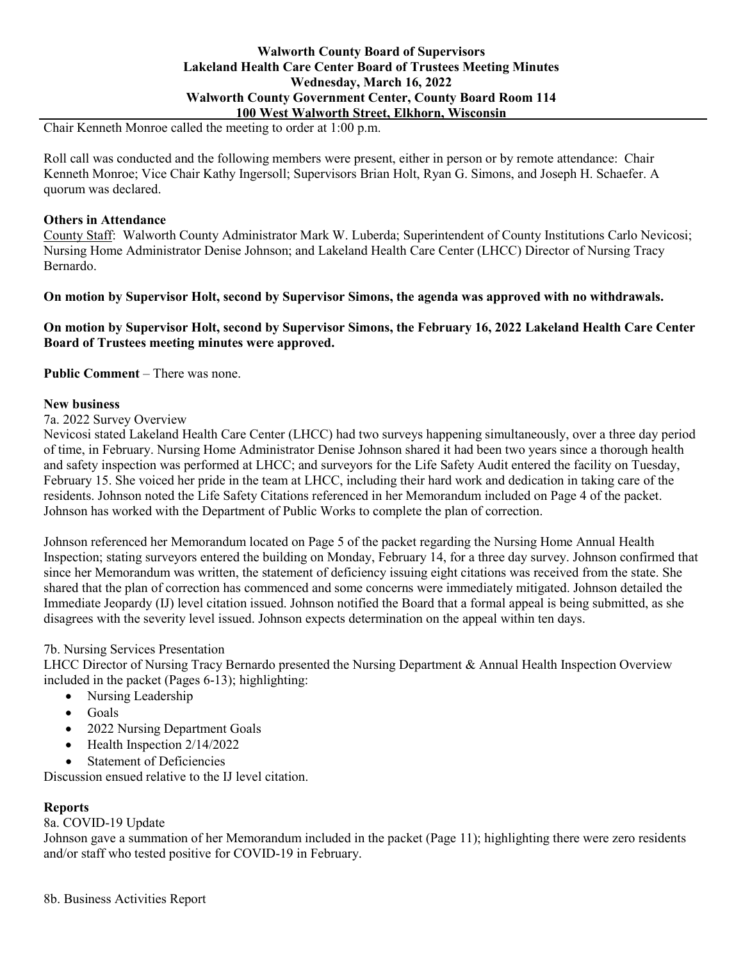# **Walworth County Board of Supervisors Lakeland Health Care Center Board of Trustees Meeting Minutes Wednesday, March 16, 2022 Walworth County Government Center, County Board Room 114 100 West Walworth Street, Elkhorn, Wisconsin**

Chair Kenneth Monroe called the meeting to order at 1:00 p.m.

Roll call was conducted and the following members were present, either in person or by remote attendance: Chair Kenneth Monroe; Vice Chair Kathy Ingersoll; Supervisors Brian Holt, Ryan G. Simons, and Joseph H. Schaefer. A quorum was declared.

# **Others in Attendance**

County Staff: Walworth County Administrator Mark W. Luberda; Superintendent of County Institutions Carlo Nevicosi; Nursing Home Administrator Denise Johnson; and Lakeland Health Care Center (LHCC) Director of Nursing Tracy Bernardo.

# **On motion by Supervisor Holt, second by Supervisor Simons, the agenda was approved with no withdrawals.**

**On motion by Supervisor Holt, second by Supervisor Simons, the February 16, 2022 Lakeland Health Care Center Board of Trustees meeting minutes were approved.**

**Public Comment** – There was none.

### **New business**

7a. 2022 Survey Overview

Nevicosi stated Lakeland Health Care Center (LHCC) had two surveys happening simultaneously, over a three day period of time, in February. Nursing Home Administrator Denise Johnson shared it had been two years since a thorough health and safety inspection was performed at LHCC; and surveyors for the Life Safety Audit entered the facility on Tuesday, February 15. She voiced her pride in the team at LHCC, including their hard work and dedication in taking care of the residents. Johnson noted the Life Safety Citations referenced in her Memorandum included on Page 4 of the packet. Johnson has worked with the Department of Public Works to complete the plan of correction.

Johnson referenced her Memorandum located on Page 5 of the packet regarding the Nursing Home Annual Health Inspection; stating surveyors entered the building on Monday, February 14, for a three day survey. Johnson confirmed that since her Memorandum was written, the statement of deficiency issuing eight citations was received from the state. She shared that the plan of correction has commenced and some concerns were immediately mitigated. Johnson detailed the Immediate Jeopardy (IJ) level citation issued. Johnson notified the Board that a formal appeal is being submitted, as she disagrees with the severity level issued. Johnson expects determination on the appeal within ten days.

# 7b. Nursing Services Presentation

LHCC Director of Nursing Tracy Bernardo presented the Nursing Department & Annual Health Inspection Overview included in the packet (Pages 6-13); highlighting:

- Nursing Leadership
- Goals
- 2022 Nursing Department Goals
- Health Inspection 2/14/2022
- Statement of Deficiencies

Discussion ensued relative to the IJ level citation.

# **Reports**

# 8a. COVID-19 Update

Johnson gave a summation of her Memorandum included in the packet (Page 11); highlighting there were zero residents and/or staff who tested positive for COVID-19 in February.